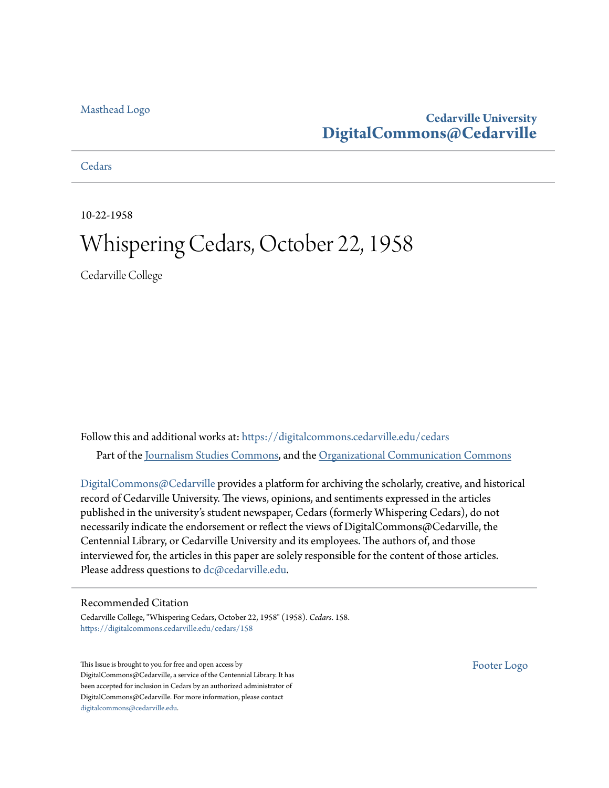# [Masthead Logo](http://www.cedarville.edu/?utm_source=digitalcommons.cedarville.edu%2Fcedars%2F158&utm_medium=PDF&utm_campaign=PDFCoverPages)

# **Cedarville University [DigitalCommons@Cedarville](https://digitalcommons.cedarville.edu?utm_source=digitalcommons.cedarville.edu%2Fcedars%2F158&utm_medium=PDF&utm_campaign=PDFCoverPages)**

**[Cedars](https://digitalcommons.cedarville.edu/cedars?utm_source=digitalcommons.cedarville.edu%2Fcedars%2F158&utm_medium=PDF&utm_campaign=PDFCoverPages)** 

10-22-1958

# Whispering Cedars, October 22, 1958

Cedarville College

Follow this and additional works at: [https://digitalcommons.cedarville.edu/cedars](https://digitalcommons.cedarville.edu/cedars?utm_source=digitalcommons.cedarville.edu%2Fcedars%2F158&utm_medium=PDF&utm_campaign=PDFCoverPages) Part of the [Journalism Studies Commons](http://network.bepress.com/hgg/discipline/333?utm_source=digitalcommons.cedarville.edu%2Fcedars%2F158&utm_medium=PDF&utm_campaign=PDFCoverPages), and the [Organizational Communication Commons](http://network.bepress.com/hgg/discipline/335?utm_source=digitalcommons.cedarville.edu%2Fcedars%2F158&utm_medium=PDF&utm_campaign=PDFCoverPages)

[DigitalCommons@Cedarville](http://digitalcommons.cedarville.edu/) provides a platform for archiving the scholarly, creative, and historical record of Cedarville University. The views, opinions, and sentiments expressed in the articles published in the university's student newspaper, Cedars (formerly Whispering Cedars), do not necessarily indicate the endorsement or reflect the views of DigitalCommons@Cedarville, the Centennial Library, or Cedarville University and its employees. The authors of, and those interviewed for, the articles in this paper are solely responsible for the content of those articles. Please address questions to [dc@cedarville.edu.](mailto:dc@cedarville.edu)

# Recommended Citation

Cedarville College, "Whispering Cedars, October 22, 1958" (1958). *Cedars*. 158. [https://digitalcommons.cedarville.edu/cedars/158](https://digitalcommons.cedarville.edu/cedars/158?utm_source=digitalcommons.cedarville.edu%2Fcedars%2F158&utm_medium=PDF&utm_campaign=PDFCoverPages)

This Issue is brought to you for free and open access by DigitalCommons@Cedarville, a service of the Centennial Library. It has been accepted for inclusion in Cedars by an authorized administrator of DigitalCommons@Cedarville. For more information, please contact [digitalcommons@cedarville.edu](mailto:digitalcommons@cedarville.edu).

[Footer Logo](http://www.cedarville.edu/Academics/Library.aspx?utm_source=digitalcommons.cedarville.edu%2Fcedars%2F158&utm_medium=PDF&utm_campaign=PDFCoverPages)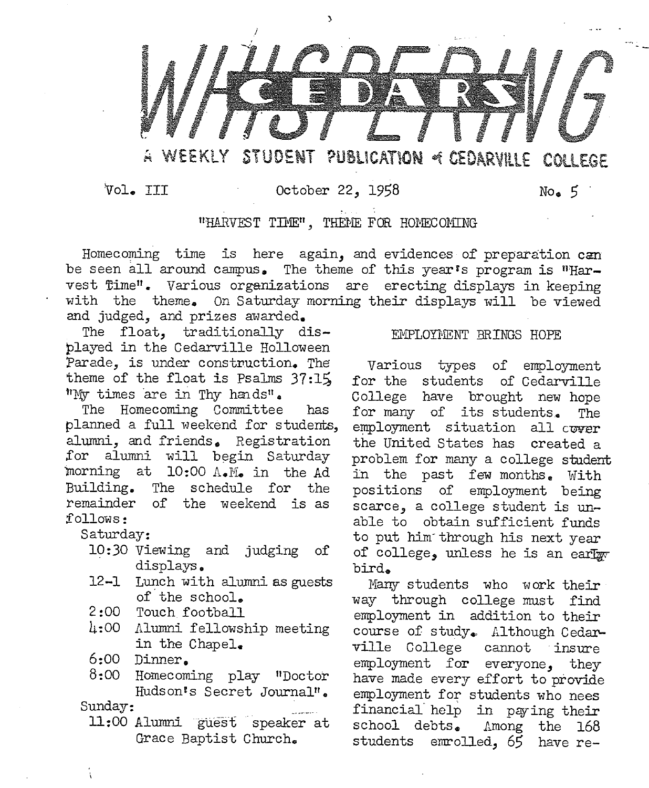

Vol. III October 22, 1958 Noe *5* 

### "HARVEST TIME", THEME FOR HOMECOMING

Homecoming time is here again, and evidences of preparation  $c$ an be seen all around campus. The theme of this year's program is "Har-<br>vest flime". Various organizations are erecting displays in keeping with the theme. On Saturday morning their displays will be viewed and judged, and prizes awarded.

The float, traditionally displayed in the Cedarville Halloween Parade, is under construction. The theme of the float is Psalms  $37:15$ "My times are in Thy hands".

The Homecoming Committee has planned a full weekend for students, alumni, and friends. Registration for alumni will begin Saturday morning at  $10:00$   $A \cdot M$  in the Ad Building. The schedule for the remainder of the weekend is as follows:

Saturday:

- 10:30 Viewing and judging of . displays.
- 12-1 Lunch with alumni as guests of.the school.
- 2:00 Touch football
- 4:00 Alumni fellowship meeting in the Chapel.
- 6:00 Dinner.
- 8:00 Homecoming play "Doctor Hudson's Secret Journaln.

Sunday:

11:00 Alumni guest speaker at Grace Baptist Church.

#### EMPLOYMENT BRINGS HOPE

Various types of employment for the students of Cedarville College have brought new hope for many of its students. The employment situation all cover the United States has created a problem for many a college student in the past few months. With positions of employment being scarce, a college student is unable to obtain sufficient funds to put him· through his next year of college, unless he is an early bird.

Many students who work their way through college must find employment in addition to their course of study. Although Cedarville College cannot insure employment for everyone, they have made every effort to provide employment for students who nees financial help in paying their school debts. Among the 168 students emrolled, *65* have re-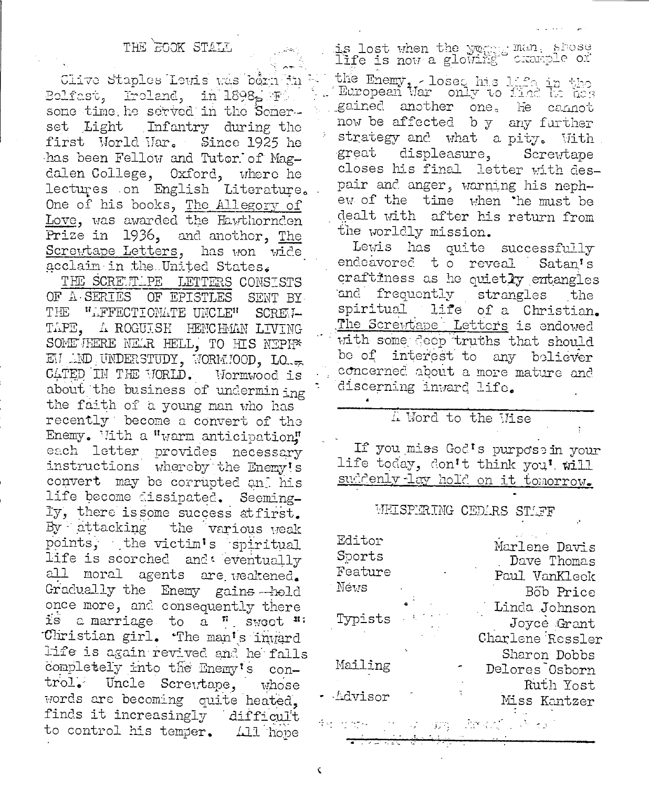# THE GOOK STALL

Clive Staples Lewis was bein in Bolfast, Iroland, in 1898, F. some time he served in the Somerset Light Infantry during the first World Mar. Since 1925 he has been Fellow and Tutor of Magdalen College, Oxford, where he lectures on English Literature. One of his books, The Allegory of Love, was awarded the Hawthornden Prize in 1936, and another, The Screwtape Letters, has won wide acclaim in the United States.

THE SCREWLPE LETTERS CONSISTS OF A SERIES OF EPISTLES SENT BY THE "AFFECTIONATE UNCLE" SCREM-TAPE, A ROGUISH HENCHMAN LIVING SOMETHERE NEWR HELL, TO HIS NEPH\* EM AND UNDERSTUDY, WORMMOOD, LO. CATED IN THE WORLD. Mormwood is about the business of undermining the faith of a young man who has recently become a convert of the Enemy. With a "warm anticipation" each letter provides necessary instructions whereby the Enemy's convert may be corrupted and his life become dissipated. Seemingly, there is some success at first. By attacking the various weak points, the victim's spiritual life is scorched and eventually all moral agents are weakened. Gradually the Enemy gains hold once more, and consequently there is a marriage to a " swoot " Christian girl. The man's inward life is again revived and he falls completely into the Enemy's control. Uncle Screttape, whose words are becoming quite heated. finds it increasingly difficult to control his temper. 411 hope

is lost when the yogges man, shose<br>life is now a glowing crample or

the Enemy, - loses his life in the gained another one. He cannot now be affected by any further strategy and what a pity. With. displeasure, great Screwtape closes his final letter with despair and anger, warning his nephew of the time when the must be dealt with after his return from the worldly mission.

Lewis has quite successfully endeavored to reveal. Satan's craftiness as he quietly entangles and frequently strangles the spiritual life of a Christian. The Screwtape Letters is endowed with some seep truths that should be of interest to any believer concerned about a more mature and discerning inward life.

# I Word to the Vise

If you miss God's purpose in your life today, don't think you' will suddenly lay hold on it tomorrow.

#### WEISPERING CEDARS STAFF

| Editor<br>Sports<br>Feature<br>Névs |      | Marlene Davis<br>Dave Thomas<br>Paul VanKleek<br>Bob Price |
|-------------------------------------|------|------------------------------------------------------------|
| Typists                             | - 61 | Linda Johnson<br>Joyce Grant<br>Charlene Ressler           |
| Mailing                             |      | Sharon Dobbs<br>Delores Osborn<br>Ruth Yost                |
| Advisor                             |      | Miss Kantzer                                               |

¢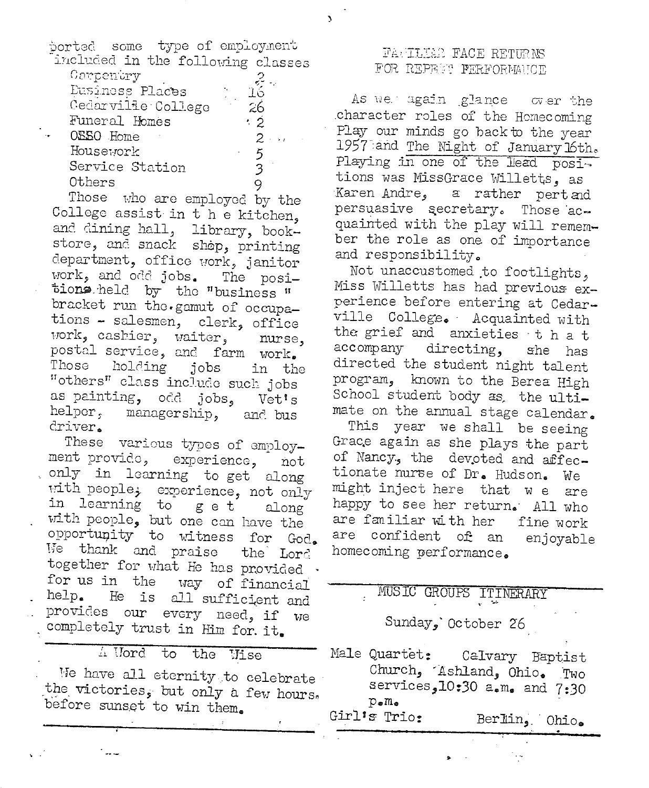| ported some type of employment    |                 |  |           |                      |  |
|-----------------------------------|-----------------|--|-----------|----------------------|--|
| included in the following classes |                 |  |           |                      |  |
| Carpentry                         |                 |  |           |                      |  |
|                                   | Eusinoss Places |  |           | 16                   |  |
| Cedarville College                |                 |  | $\sim$ 26 |                      |  |
| Funeral Homes                     |                 |  |           | $\cdot$ 2            |  |
| OESO Home                         |                 |  |           | 2.<br>$\sim 10^{-1}$ |  |
| Housework                         |                 |  |           | 5                    |  |
| Service Station                   |                 |  |           |                      |  |
| Others                            |                 |  |           |                      |  |

Those who are employed by the College assist in t h e kitchen, and dining hall, library, bookstore, and snack shop, printing department, office work, janitor work, and odd jobs. The positions held by the "business " bracket run the gamut of occupations - salesmen, clerk, office work, cashier, waiter, nurse, postal service, and farm work. Those holding jobs in the "others" class include such jobs as painting, odd jobs, Vet's helper, managership, and bus driver.

These various types of employment provide, experience, not only in learning to get along with people; experience, not only in learning to get along with people, but one can have the opportunity to witness for God. We thank and praise the Lord together for what He has provided. for us in the way of financial help. He is all sufficient and provides our every need, if we completely trust in Him for. it.

#### 4 Uord  $\overline{t}$ the Wise

We have all eternity to celebrate the victories, but only a few hours. before sunset to win them.

### **FAGILIAN FACE RETURNS** FOR REPERT FERFORMANCE

As well again glance over the character roles of the Homecoming Play our minds go back to the vear 1957 and The Night of January 16th. Playing in one of the lead positions was MissGrace Willetts, as Karen Andre, a rather pertand persuasive secretary. Those acquainted with the play will remember the role as one of importance and responsibility.

Not unaccustomed to footlights, Miss Willetts has had previous experience before entering at Cedarville College. Acquainted with the grief and anxieties that accompany directing, she has directed the student night talent program, known to the Berea High School student body as, the ultimate on the annual stage calendar.

This year we shall be seeing Grace again as she plays the part of Nancy., the devoted and affectionate nurse of Dr. Hudson. We might inject here that we are happy to see her return. All who are familiar with her fine work are confident of an enjoyable homecoming performance.

# MUSIC GROUPS ITINERARY Sunday, October 26

Male Quartet: Calvary Baptist Church, Ashland, Ohio. Two services, 10:30 a.m. and 7:30  $p_{\bullet}m_{\bullet}$ Girl's Trio: Berlin, Ohio.